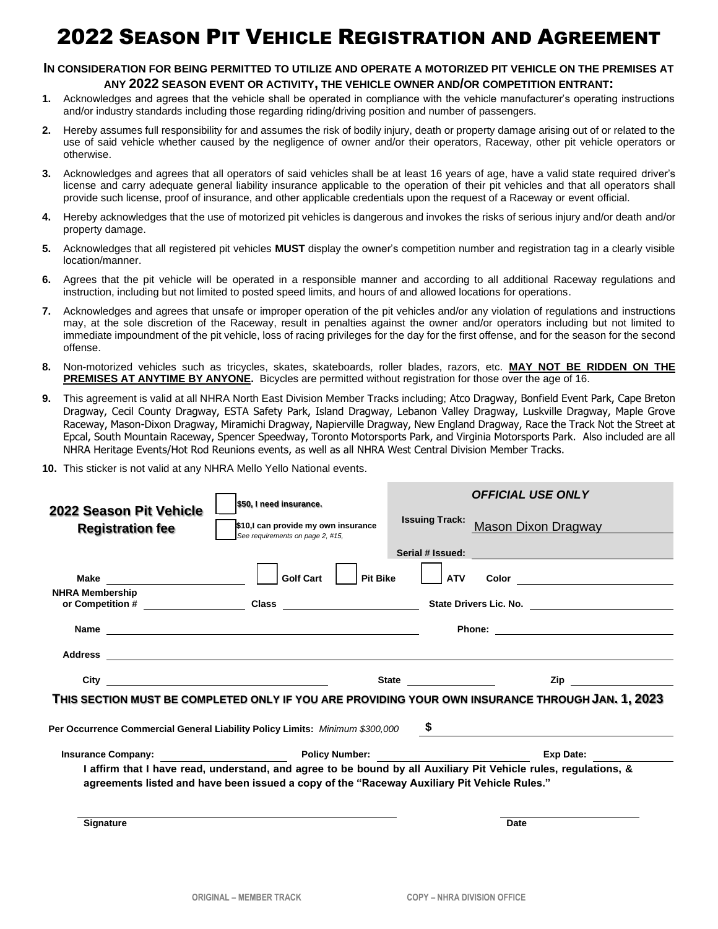## 2022 SEASON PIT VEHICLE REGISTRATION AND AGREEMENT

#### **IN CONSIDERATION FOR BEING PERMITTED TO UTILIZE AND OPERATE A MOTORIZED PIT VEHICLE ON THE PREMISES AT**

#### **ANY 2022 SEASON EVENT OR ACTIVITY, THE VEHICLE OWNER AND/OR COMPETITION ENTRANT:**

- **1.** Acknowledges and agrees that the vehicle shall be operated in compliance with the vehicle manufacturer's operating instructions and/or industry standards including those regarding riding/driving position and number of passengers.
- **2.** Hereby assumes full responsibility for and assumes the risk of bodily injury, death or property damage arising out of or related to the use of said vehicle whether caused by the negligence of owner and/or their operators, Raceway, other pit vehicle operators or otherwise.
- **3.** Acknowledges and agrees that all operators of said vehicles shall be at least 16 years of age, have a valid state required driver's license and carry adequate general liability insurance applicable to the operation of their pit vehicles and that all operators shall provide such license, proof of insurance, and other applicable credentials upon the request of a Raceway or event official.
- **4.** Hereby acknowledges that the use of motorized pit vehicles is dangerous and invokes the risks of serious injury and/or death and/or property damage.
- **5.** Acknowledges that all registered pit vehicles **MUST** display the owner's competition number and registration tag in a clearly visible location/manner.
- **6.** Agrees that the pit vehicle will be operated in a responsible manner and according to all additional Raceway regulations and instruction, including but not limited to posted speed limits, and hours of and allowed locations for operations.
- **7.** Acknowledges and agrees that unsafe or improper operation of the pit vehicles and/or any violation of regulations and instructions may, at the sole discretion of the Raceway, result in penalties against the owner and/or operators including but not limited to immediate impoundment of the pit vehicle, loss of racing privileges for the day for the first offense, and for the season for the second offense.
- **8.** Non-motorized vehicles such as tricycles, skates, skateboards, roller blades, razors, etc. **MAY NOT BE RIDDEN ON THE PREMISES AT ANYTIME BY ANYONE.** Bicycles are permitted without registration for those over the age of 16.
- **9.** This agreement is valid at all NHRA North East Division Member Tracks including; Atco Dragway, Bonfield Event Park, Cape Breton Dragway, Cecil County Dragway, ESTA Safety Park, Island Dragway, Lebanon Valley Dragway, Luskville Dragway, Maple Grove Raceway, Mason-Dixon Dragway, Miramichi Dragway, Napierville Dragway, New England Dragway, Race the Track Not the Street at Epcal, South Mountain Raceway, Spencer Speedway, Toronto Motorsports Park, and Virginia Motorsports Park. Also included are all NHRA Heritage Events/Hot Rod Reunions events, as well as all NHRA West Central Division Member Tracks.
- **10.** This sticker is not valid at any NHRA Mello Yello National events.

| 2022 Season Pit Vehicle                                                                                                                                                                                        | \$50, I need insurance.                                                                                                                                                                                                       |                       | <b>OFFICIAL USE ONLY</b>                                                                                                                                                                                                            |  |
|----------------------------------------------------------------------------------------------------------------------------------------------------------------------------------------------------------------|-------------------------------------------------------------------------------------------------------------------------------------------------------------------------------------------------------------------------------|-----------------------|-------------------------------------------------------------------------------------------------------------------------------------------------------------------------------------------------------------------------------------|--|
| <b>Registration fee</b>                                                                                                                                                                                        | \$10,I can provide my own insurance<br>See requirements on page 2, #15,                                                                                                                                                       | <b>Issuing Track:</b> | Mason Dixon Dragway                                                                                                                                                                                                                 |  |
|                                                                                                                                                                                                                |                                                                                                                                                                                                                               | Serial # Issued:      | <u> 1990 - Jan Barbara de Santo de Antonio de Antonio de Antonio de Antonio de Antonio de Antonio de Antonio de</u>                                                                                                                 |  |
|                                                                                                                                                                                                                | <b>Golf Cart</b><br><b>Pit Bike</b>                                                                                                                                                                                           | <b>ATV</b>            |                                                                                                                                                                                                                                     |  |
| <b>NHRA Membership</b>                                                                                                                                                                                         |                                                                                                                                                                                                                               |                       |                                                                                                                                                                                                                                     |  |
|                                                                                                                                                                                                                |                                                                                                                                                                                                                               |                       |                                                                                                                                                                                                                                     |  |
|                                                                                                                                                                                                                | Address experiences and a series of the series of the series of the series of the series of the series of the series of the series of the series of the series of the series of the series of the series of the series of the |                       |                                                                                                                                                                                                                                     |  |
|                                                                                                                                                                                                                |                                                                                                                                                                                                                               |                       | <b>Zip</b> and the set of the set of the set of the set of the set of the set of the set of the set of the set of the set of the set of the set of the set of the set of the set of the set of the set of the set of the set of the |  |
| THIS SECTION MUST BE COMPLETED ONLY IF YOU ARE PROVIDING YOUR OWN INSURANCE THROUGH JAN. 1, 2023                                                                                                               |                                                                                                                                                                                                                               |                       |                                                                                                                                                                                                                                     |  |
| Per Occurrence Commercial General Liability Policy Limits: Minimum \$300,000 \$                                                                                                                                |                                                                                                                                                                                                                               |                       |                                                                                                                                                                                                                                     |  |
|                                                                                                                                                                                                                |                                                                                                                                                                                                                               |                       | Exp Date:                                                                                                                                                                                                                           |  |
| I affirm that I have read, understand, and agree to be bound by all Auxiliary Pit Vehicle rules, regulations, &<br>agreements listed and have been issued a copy of the "Raceway Auxiliary Pit Vehicle Rules." |                                                                                                                                                                                                                               |                       |                                                                                                                                                                                                                                     |  |
|                                                                                                                                                                                                                |                                                                                                                                                                                                                               |                       |                                                                                                                                                                                                                                     |  |
| <b>Signature</b>                                                                                                                                                                                               |                                                                                                                                                                                                                               |                       | Date                                                                                                                                                                                                                                |  |
|                                                                                                                                                                                                                |                                                                                                                                                                                                                               |                       |                                                                                                                                                                                                                                     |  |